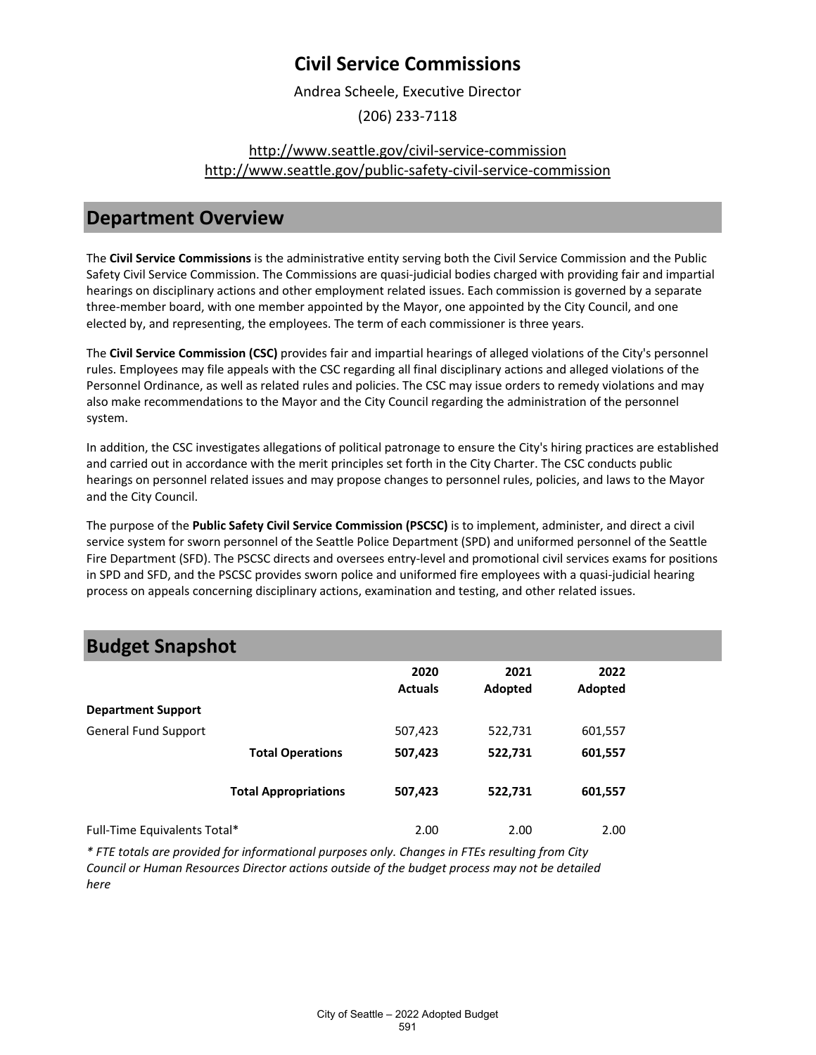Andrea Scheele, Executive Director

(206) 233-7118

### [http://www.seattle.gov/civil-service-commission](http://www.seattle.gov/civil-service-commission%0Ahttp:/www.seattle.gov/public-safety-civil-service-commission) [http://www.seattle.gov/public-safety-civil-service-commission](http://www.seattle.gov/civil-service-commission%0Ahttp:/www.seattle.gov/public-safety-civil-service-commission)

### **Department Overview**

The **Civil Service Commissions** is the administrative entity serving both the Civil Service Commission and the Public Safety Civil Service Commission. The Commissions are quasi-judicial bodies charged with providing fair and impartial hearings on disciplinary actions and other employment related issues. Each commission is governed by a separate three-member board, with one member appointed by the Mayor, one appointed by the City Council, and one elected by, and representing, the employees. The term of each commissioner is three years.

The **Civil Service Commission (CSC)** provides fair and impartial hearings of alleged violations of the City's personnel rules. Employees may file appeals with the CSC regarding all final disciplinary actions and alleged violations of the Personnel Ordinance, as well as related rules and policies. The CSC may issue orders to remedy violations and may also make recommendations to the Mayor and the City Council regarding the administration of the personnel system.

In addition, the CSC investigates allegations of political patronage to ensure the City's hiring practices are established and carried out in accordance with the merit principles set forth in the City Charter. The CSC conducts public hearings on personnel related issues and may propose changes to personnel rules, policies, and laws to the Mayor and the City Council.

The purpose of the **Public Safety Civil Service Commission (PSCSC)** is to implement, administer, and direct a civil service system for sworn personnel of the Seattle Police Department (SPD) and uniformed personnel of the Seattle Fire Department (SFD). The PSCSC directs and oversees entry-level and promotional civil services exams for positions in SPD and SFD, and the PSCSC provides sworn police and uniformed fire employees with a quasi-judicial hearing process on appeals concerning disciplinary actions, examination and testing, and other related issues.

## **Budget Snapshot**

|                              |                             | 2020<br><b>Actuals</b> | 2021<br>Adopted | 2022<br>Adopted |  |
|------------------------------|-----------------------------|------------------------|-----------------|-----------------|--|
| <b>Department Support</b>    |                             |                        |                 |                 |  |
| <b>General Fund Support</b>  |                             | 507,423                | 522,731         | 601,557         |  |
|                              | <b>Total Operations</b>     | 507,423                | 522,731         | 601,557         |  |
|                              | <b>Total Appropriations</b> | 507,423                | 522,731         | 601,557         |  |
| Full-Time Equivalents Total* |                             | 2.00                   | 2.00            | 2.00            |  |

*\* FTE totals are provided for informational purposes only. Changes in FTEs resulting from City Council or Human Resources Director actions outside of the budget process may not be detailed here*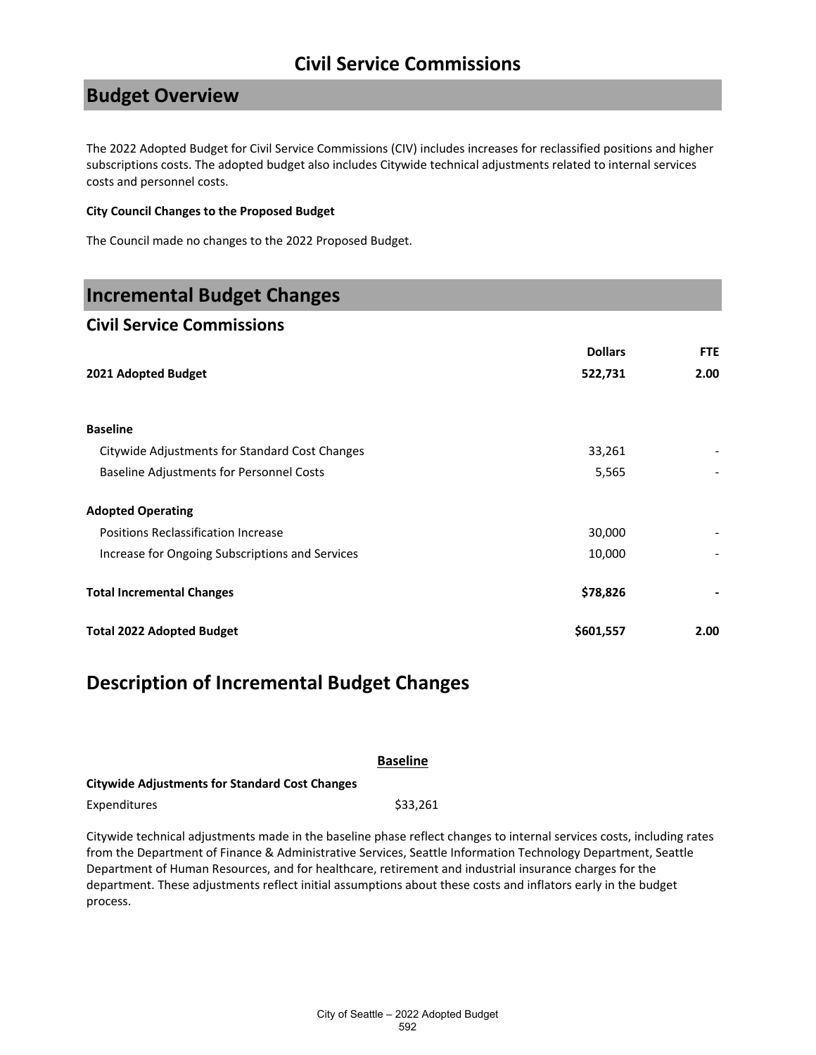### **Budget Overview**

The 2022 Adopted Budget for Civil Service Commissions (CIV) includes increases for reclassified positions and higher subscriptions costs. The adopted budget also includes Citywide technical adjustments related to internal services costs and personnel costs.

#### **City Council Changes to the Proposed Budget**

The Council made no changes to the 2022 Proposed Budget.

### **Incremental Budget Changes**

#### **Civil Service Commissions**

|                                                 | <b>Dollars</b> | FTE  |
|-------------------------------------------------|----------------|------|
| 2021 Adopted Budget                             | 522,731        | 2.00 |
| <b>Baseline</b>                                 |                |      |
| Citywide Adjustments for Standard Cost Changes  | 33,261         |      |
| <b>Baseline Adjustments for Personnel Costs</b> | 5,565          |      |
| <b>Adopted Operating</b>                        |                |      |
| Positions Reclassification Increase             | 30,000         |      |
| Increase for Ongoing Subscriptions and Services | 10,000         |      |
| <b>Total Incremental Changes</b>                | \$78,826       |      |
| <b>Total 2022 Adopted Budget</b>                | \$601,557      | 2.00 |

### **Description of Incremental Budget Changes**

|                                                       | <b>Baseline</b>                                                                                                    |
|-------------------------------------------------------|--------------------------------------------------------------------------------------------------------------------|
| <b>Citywide Adjustments for Standard Cost Changes</b> |                                                                                                                    |
| Expenditures                                          | \$33.261                                                                                                           |
|                                                       | Citywido tochnical adjustments made in the baseline phase reflect changes to internal services sests, including ra |

Citywide technical adjustments made in the baseline phase reflect changes to internal services costs, including rates from the Department of Finance & Administrative Services, Seattle Information Technology Department, Seattle Department of Human Resources, and for healthcare, retirement and industrial insurance charges for the department. These adjustments reflect initial assumptions about these costs and inflators early in the budget process.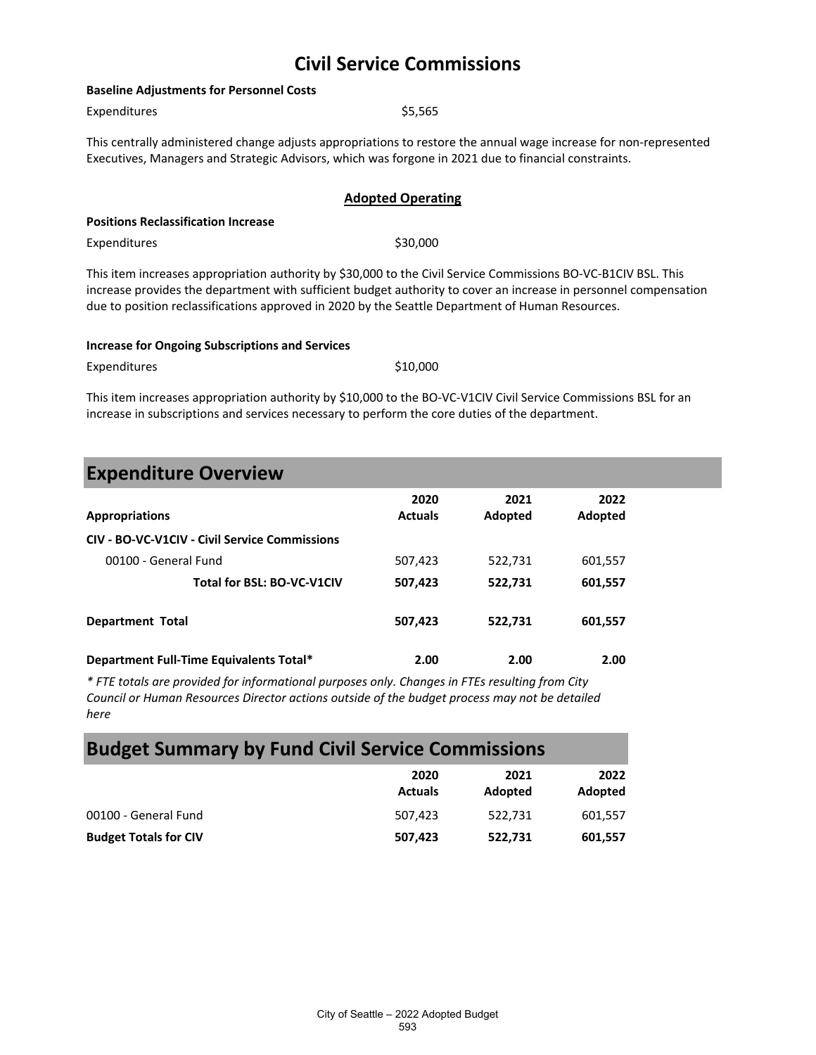| <b>Baseline Adjustments for Personnel Costs</b>                                                                                                                                                                           |                                                                                                                                                                                                                                                                                                                                        |  |  |  |
|---------------------------------------------------------------------------------------------------------------------------------------------------------------------------------------------------------------------------|----------------------------------------------------------------------------------------------------------------------------------------------------------------------------------------------------------------------------------------------------------------------------------------------------------------------------------------|--|--|--|
| Expenditures                                                                                                                                                                                                              | \$5,565                                                                                                                                                                                                                                                                                                                                |  |  |  |
| This centrally administered change adjusts appropriations to restore the annual wage increase for non-represented<br>Executives, Managers and Strategic Advisors, which was forgone in 2021 due to financial constraints. |                                                                                                                                                                                                                                                                                                                                        |  |  |  |
|                                                                                                                                                                                                                           | <b>Adopted Operating</b>                                                                                                                                                                                                                                                                                                               |  |  |  |
| <b>Positions Reclassification Increase</b>                                                                                                                                                                                |                                                                                                                                                                                                                                                                                                                                        |  |  |  |
| Expenditures                                                                                                                                                                                                              | \$30,000                                                                                                                                                                                                                                                                                                                               |  |  |  |
|                                                                                                                                                                                                                           | This item increases appropriation authority by \$30,000 to the Civil Service Commissions BO-VC-B1CIV BSL. This<br>increase provides the department with sufficient budget authority to cover an increase in personnel compensation<br>due to position reclassifications approved in 2020 by the Seattle Department of Human Resources. |  |  |  |

| <b>Increase for Ongoing Subscriptions and Services</b> |          |
|--------------------------------------------------------|----------|
| Expenditures                                           | \$10.000 |

This item increases appropriation authority by \$10,000 to the BO-VC-V1CIV Civil Service Commissions BSL for an increase in subscriptions and services necessary to perform the core duties of the department.

| <b>Expenditure Overview</b> |  |  |
|-----------------------------|--|--|
|                             |  |  |

| <b>Appropriations</b>                         | 2020<br><b>Actuals</b> | 2021<br>Adopted | 2022<br>Adopted |  |
|-----------------------------------------------|------------------------|-----------------|-----------------|--|
| CIV - BO-VC-V1CIV - Civil Service Commissions |                        |                 |                 |  |
| 00100 - General Fund                          | 507,423                | 522,731         | 601,557         |  |
| Total for BSL: BO-VC-V1CIV                    | 507,423                | 522,731         | 601,557         |  |
| <b>Department Total</b>                       | 507,423                | 522,731         | 601,557         |  |
| Department Full-Time Equivalents Total*       | 2.00                   | 2.00            | 2.00            |  |

*\* FTE totals are provided for informational purposes only. Changes in FTEs resulting from City Council or Human Resources Director actions outside of the budget process may not be detailed here*

## **Budget Summary by Fund Civil Service Commissions**

|                              | 2020<br><b>Actuals</b> | 2021<br>Adopted | 2022<br>Adopted |
|------------------------------|------------------------|-----------------|-----------------|
| 00100 - General Fund         | 507,423                | 522.731         | 601.557         |
| <b>Budget Totals for CIV</b> | 507,423                | 522,731         | 601,557         |